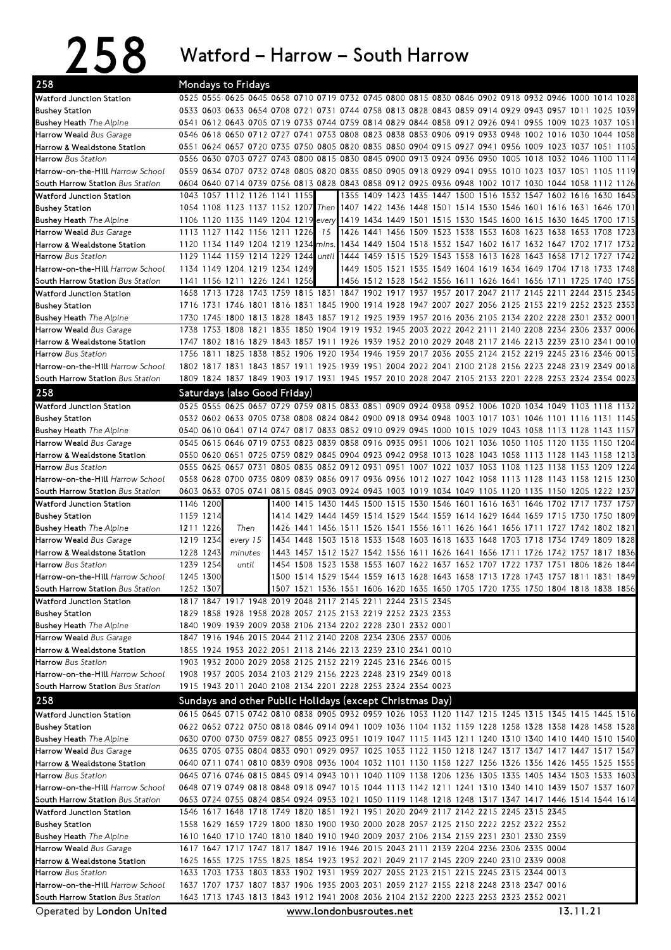## 258 Watford – Harrow – South Harrow

| 258                                                                  |                        | Mondays to Fridays                                                                                                                                                           |  |       |  |  |  |  |                                                                                                                                                               |  |      |
|----------------------------------------------------------------------|------------------------|------------------------------------------------------------------------------------------------------------------------------------------------------------------------------|--|-------|--|--|--|--|---------------------------------------------------------------------------------------------------------------------------------------------------------------|--|------|
| Watford Junction Station                                             |                        | 0525 0555 0625 0645 0658 0710 0719 0732 0745 0800 0815 0830 0846 0902 0918 0932 0946 1000 1014 1028                                                                          |  |       |  |  |  |  |                                                                                                                                                               |  |      |
| <b>Bushey Station</b>                                                |                        | 0533 0603 0633 0654 0708 0721 0731 0744 0758 0813 0828 0843 0859 0914 0929 0943 0957 1011 1025                                                                               |  |       |  |  |  |  |                                                                                                                                                               |  | 1039 |
| <b>Bushey Heath</b> The Alpine                                       |                        | 0541 0612 0643 0705 0719 0733 0744 0759 0814 0829 0844 0858 0912 0926 0941 0955 1009 1023 1037 1051                                                                          |  |       |  |  |  |  |                                                                                                                                                               |  |      |
| Harrow Weald Bus Garage                                              |                        | 0546 0618 0650 0712 0727 0741 0753 0808 0823 0838 0853 0906 0919 0933 0948 1002 1016 1030 1044 1058                                                                          |  |       |  |  |  |  |                                                                                                                                                               |  |      |
| Harrow & Wealdstone Station                                          |                        | 0551 0624 0657 0720 0735 0750 0805 0820 0835 0850 0904 0915 0927 0941 0956 1009 1023 1037 1051 1105                                                                          |  |       |  |  |  |  |                                                                                                                                                               |  |      |
| <b>Harrow</b> Bus Station                                            |                        | 0556 0630 0703 0727 0743 0800 0815 0830 0845 0900 0913 0924 0936 0950 1005 1018 1032 1046 1100                                                                               |  |       |  |  |  |  |                                                                                                                                                               |  | 1114 |
| Harrow-on-the-Hill Harrow School                                     |                        | 0559 0634 0707 0732 0748 0805 0820 0835 0850 0905 0918 0929 0941 0955 1010 1023 1037 1051 1105                                                                               |  |       |  |  |  |  |                                                                                                                                                               |  | 1119 |
| South Harrow Station Bus Station                                     |                        | 0604 0640 0714 0739 0756 0813 0828 0843 0858 0912 0925 0936 0948 1002 1017 1030 1044 1058 1112 1126                                                                          |  |       |  |  |  |  |                                                                                                                                                               |  |      |
| Watford Junction Station                                             |                        | 1043 1057 1112 1126 1141 1155<br>1054 1108 1123 1137 1152 1207 Then 1407 1422 1436 1448 1501 1514 1530 1546 1601 1616 1631 1646 1701                                         |  |       |  |  |  |  | 1355 1409 1423 1435 1447 1500 1516 1532 1547 1602 1616 1630                                                                                                   |  | 1645 |
| <b>Bushey Station</b><br><b>Bushey Heath</b> The Alpine              |                        | 1106 1120 1135 1149 1204 1219 every 1419 1434 1449 1501 1515 1530 1545 1600 1615 1630 1645 1700 1715                                                                         |  |       |  |  |  |  |                                                                                                                                                               |  |      |
| Harrow Weald Bus Garage                                              |                        | 1113 1127 1142 1156 1211 1226                                                                                                                                                |  | 15    |  |  |  |  | 1426 1441 1456 1509 1523 1538 1553 1608 1623 1638 1653 1708                                                                                                   |  | 1723 |
| Harrow & Wealdstone Station                                          |                        | 1120 1134 1149 1204 1219 1234 mins.                                                                                                                                          |  |       |  |  |  |  | 1434 1449 1504 1518 1532 1547 1602 1617 1632 1647 1702 1717 1732                                                                                              |  |      |
| <b>Harrow</b> Bus Station                                            |                        | 1129 1144 1159 1214 1229 1244                                                                                                                                                |  | until |  |  |  |  | 1444 1459 1515 1529 1543 1558 1613 1628 1643 1658 1712 1727 1742                                                                                              |  |      |
| Harrow-on-the-Hill Harrow School                                     |                        | 1134 1149 1204 1219 1234 1249                                                                                                                                                |  |       |  |  |  |  | 1449 1505 1521 1535 1549 1604 1619 1634 1649 1704 1718 1733 1748                                                                                              |  |      |
| South Harrow Station Bus Station                                     |                        | 1141 1156 1211 1226 1241 1256                                                                                                                                                |  |       |  |  |  |  | 1456 1512 1528 1542 1556 1611 1626 1641 1656 1711 1725 1740 1755                                                                                              |  |      |
| Watford Junction Station                                             |                        | 1658 1713 1728 1743 1759 1815 1831 1847 1902 1917 1937 1957 2017 2047 2117 2145 2211 2244 2315                                                                               |  |       |  |  |  |  |                                                                                                                                                               |  | 2345 |
| <b>Bushey Station</b>                                                |                        | 1716 1731 1746 1801 1816 1831 1845 1900 1914 1928 1947 2007 2027 2056 2125 2153 2219 2252 2323 2353                                                                          |  |       |  |  |  |  |                                                                                                                                                               |  |      |
| <b>Bushey Heath</b> The Alpine                                       |                        | 1730 1745 1800 1813 1828 1843 1857 1912 1925 1939 1957 2016 2036 2105 2134 2202 2228 2301 2332 0001                                                                          |  |       |  |  |  |  |                                                                                                                                                               |  |      |
| Harrow Weald Bus Garage                                              |                        | 1738 1753 1808 1821 1835 1850 1904 1919 1932 1945 2003 2022 2042 2111 2140 2208 2234 2306 2337 0006                                                                          |  |       |  |  |  |  |                                                                                                                                                               |  |      |
| Harrow & Wealdstone Station                                          |                        | 1747 1802 1816 1829 1843 1857 1911 1926 1939 1952 2010 2029 2048 2117 2146 2213 2239 2310 2341 0010                                                                          |  |       |  |  |  |  |                                                                                                                                                               |  |      |
| <b>Harrow</b> Bus Station                                            | 1756                   | 1811 1825 1838 1852 1906 1920 1934 1946 1959 2017 2036 2055 2124 2152 2219 2245 2316 2346                                                                                    |  |       |  |  |  |  |                                                                                                                                                               |  | 0015 |
| Harrow-on-the-Hill Harrow School                                     |                        | 1802 1817 1831 1843 1857 1911 1925 1939 1951 2004 2022 2041 2100 2128 2156 2223 2248 2319 2349 0018                                                                          |  |       |  |  |  |  |                                                                                                                                                               |  |      |
| South Harrow Station Bus Station                                     |                        | 1809 1824 1837 1849 1903 1917 1931 1945 1957 2010 2028 2047 2105 2133 2201 2228 2253 2324 2354 0023                                                                          |  |       |  |  |  |  |                                                                                                                                                               |  |      |
| 258                                                                  |                        | Saturdays (also Good Friday)                                                                                                                                                 |  |       |  |  |  |  |                                                                                                                                                               |  |      |
| <b>Watford Junction Station</b>                                      |                        | 0525 0555 0625 0657 0729 0759 0815 0833 0851 0909 0924 0938 0952 1006 1020 1034 1049 1103 1118 1132                                                                          |  |       |  |  |  |  |                                                                                                                                                               |  |      |
| <b>Bushey Station</b>                                                |                        | 0532 0602 0633 0705 0738 0808 0824 0842 0900 0918 0934 0948 1003 1017 1031 1046 1101 1116 1131 1145                                                                          |  |       |  |  |  |  |                                                                                                                                                               |  |      |
| <b>Bushey Heath</b> The Alpine                                       |                        | 0540 0610 0641 0714 0747 0817 0833 0852 0910 0929 0945 1000 1015 1029 1043 1058 1113 1128 1143 1157                                                                          |  |       |  |  |  |  |                                                                                                                                                               |  |      |
| Harrow Weald Bus Garage                                              |                        | 0545 0615 0646 0719 0753 0823 0839 0858 0916 0935 0951 1006 1021 1036 1050 1105 1120 1135 1150 1204                                                                          |  |       |  |  |  |  |                                                                                                                                                               |  |      |
| Harrow & Wealdstone Station                                          |                        | 0550 0620 0651 0725 0759 0829 0845 0904 0923 0942 0958 1013 1028 1043 1058 1113 1128 1143 1158 1213                                                                          |  |       |  |  |  |  |                                                                                                                                                               |  |      |
| <b>Harrow</b> Bus Station                                            |                        | 0555 0625 0657 0731 0805 0835 0852 0912 0931 0951 1007 1022 1037 1053 1108 1123 1138 1153 1209                                                                               |  |       |  |  |  |  |                                                                                                                                                               |  | 1224 |
| Harrow-on-the-Hill Harrow School                                     |                        | 0558 0628 0700 0735 0809 0839 0856 0917 0936 0956 1012 1027 1042 1058 1113 1128 1143 1158 1215 1230                                                                          |  |       |  |  |  |  |                                                                                                                                                               |  |      |
| South Harrow Station Bus Station                                     |                        | 0603 0633 0705 0741 0815 0845 0903 0924 0943 1003 1019 1034 1049 1105 1120 1135 1150 1205 1222 1237                                                                          |  |       |  |  |  |  |                                                                                                                                                               |  |      |
| Watford Junction Station                                             | 1146 1200              |                                                                                                                                                                              |  |       |  |  |  |  | 1400 1415 1430 1445 1500 1515 1530 1546 1601 1616 1631 1646 1702 1717 1737                                                                                    |  | 1757 |
| <b>Bushey Station</b>                                                | 1159 1214<br>1211 1226 | Then                                                                                                                                                                         |  |       |  |  |  |  | 1414 1429 1444 1459 1514 1529 1544 1559 1614 1629 1644 1659 1715 1730 1750<br>1426 1441 1456 1511 1526 1541 1556 1611 1626 1641 1656 1711 1727 1742 1802 1821 |  | 1809 |
| <b>Bushey Heath</b> The Alpine<br>Harrow Weald Bus Garage            | 1219 1234              | every 15                                                                                                                                                                     |  |       |  |  |  |  | 1434 1448 1503 1518 1533 1548 1603 1618 1633 1648 1703 1718 1734 1749 1809 1828                                                                               |  |      |
| Harrow & Wealdstone Station                                          | 1228 1243              | minutes                                                                                                                                                                      |  |       |  |  |  |  | 1443 1457 1512 1527 1542 1556 1611 1626 1641 1656 1711 1726 1742 1757 1817 1836                                                                               |  |      |
| <b>Harrow</b> Bus Station                                            | 1239 1254              | until                                                                                                                                                                        |  |       |  |  |  |  | 1454 1508 1523 1538 1553 1607 1622 1637 1652 1707 1722 1737 1751 1806 1826                                                                                    |  | 1844 |
| Harrow-on-the-Hill Harrow School                                     | 1245 1300              |                                                                                                                                                                              |  |       |  |  |  |  | 1500 1514 1529 1544 1559 1613 1628 1643 1658 1713 1728 1743 1757 1811 1831 1849                                                                               |  |      |
| South Harrow Station Bus Station                                     | 1252 1307              |                                                                                                                                                                              |  |       |  |  |  |  | 1507 1521 1536 1551 1606 1620 1635 1650 1705 1720 1735 1750 1804 1818 1838 1856                                                                               |  |      |
| Watford Junction Station                                             |                        | 1817 1847 1917 1948 2019 2048 2117 2145 2211 2244 2315 2345                                                                                                                  |  |       |  |  |  |  |                                                                                                                                                               |  |      |
| <b>Bushey Station</b>                                                |                        | 1829 1858 1928 1958 2028 2057 2125 2153 2219 2252 2323 2353                                                                                                                  |  |       |  |  |  |  |                                                                                                                                                               |  |      |
| <b>Bushey Heath</b> The Alpine                                       |                        | 1840 1909 1939 2009 2038 2106 2134 2202 2228 2301 2332 0001                                                                                                                  |  |       |  |  |  |  |                                                                                                                                                               |  |      |
| Harrow Weald Bus Garage                                              |                        | 1847 1916 1946 2015 2044 2112 2140 2208 2234 2306 2337 0006                                                                                                                  |  |       |  |  |  |  |                                                                                                                                                               |  |      |
| Harrow & Wealdstone Station                                          |                        | 1855 1924 1953 2022 2051 2118 2146 2213 2239 2310 2341 0010                                                                                                                  |  |       |  |  |  |  |                                                                                                                                                               |  |      |
| Harrow Bus Station                                                   |                        | 1903 1932 2000 2029 2058 2125 2152 2219 2245 2316 2346 0015                                                                                                                  |  |       |  |  |  |  |                                                                                                                                                               |  |      |
| Harrow-on-the-Hill Harrow School                                     |                        | 1908 1937 2005 2034 2103 2129 2156 2223 2248 2319 2349 0018                                                                                                                  |  |       |  |  |  |  |                                                                                                                                                               |  |      |
| South Harrow Station Bus Station                                     |                        | 1915 1943 2011 2040 2108 2134 2201 2228 2253 2324 2354 0023                                                                                                                  |  |       |  |  |  |  |                                                                                                                                                               |  |      |
| 258                                                                  |                        | Sundays and other Public Holidays (except Christmas Day)                                                                                                                     |  |       |  |  |  |  |                                                                                                                                                               |  |      |
| Watford Junction Station                                             |                        | 0615 0645 0715 0742 0810 0838 0905 0932 0959 1026 1053 1120 1147 1215 1245 1315 1345 1415 1445 1516                                                                          |  |       |  |  |  |  |                                                                                                                                                               |  |      |
| <b>Bushey Station</b>                                                |                        | 0622 0652 0722 0750 0818 0846 0914 0941 1009 1036 1104 1132 1159 1228 1258 1328 1358 1428 1458 1528                                                                          |  |       |  |  |  |  |                                                                                                                                                               |  |      |
| <b>Bushey Heath</b> The Alpine                                       |                        | 0630 0700 0730 0759 0827 0855 0923 0951 1019 1047 1115 1143 1211 1240 1310 1340 1410 1440 1510 1540                                                                          |  |       |  |  |  |  |                                                                                                                                                               |  |      |
| Harrow Weald Bus Garage                                              |                        | 0635 0705 0735 0804 0833 0901 0929 0957 1025 1053 1122 1150 1218 1247 1317 1347 1417 1447 1517 1547                                                                          |  |       |  |  |  |  |                                                                                                                                                               |  |      |
| Harrow & Wealdstone Station                                          |                        | 0640 0711 0741 0810 0839 0908 0936 1004 1032 1101 1130 1158 1227 1256 1326 1356 1426 1455 1525 1555                                                                          |  |       |  |  |  |  |                                                                                                                                                               |  |      |
| Harrow Bus Station                                                   |                        | 0645 0716 0746 0815 0845 0914 0943 1011 1040 1109 1138 1206 1236 1305 1335 1405 1434 1503 1533 1603                                                                          |  |       |  |  |  |  |                                                                                                                                                               |  |      |
| Harrow-on-the-Hill Harrow School                                     |                        | 0648 0719 0749 0818 0848 0918 0947 1015 1044 1113 1142 1211 1241 1310 1340 1410 1439 1507 1537 1607                                                                          |  |       |  |  |  |  |                                                                                                                                                               |  |      |
| South Harrow Station Bus Station                                     |                        | 0653 0724 0755 0824 0854 0924 0953 1021 1050 1119 1148 1218 1248 1317 1347 1417 1446 1514 1544 1614                                                                          |  |       |  |  |  |  |                                                                                                                                                               |  |      |
| Watford Junction Station                                             |                        |                                                                                                                                                                              |  |       |  |  |  |  |                                                                                                                                                               |  |      |
| <b>Bushey Station</b>                                                |                        | 1546 1617 1648 1718 1749 1820 1851 1921 1951 2020 2049 2117 2142 2215 2245 2315 2345                                                                                         |  |       |  |  |  |  |                                                                                                                                                               |  |      |
| <b>Bushey Heath</b> The Alpine                                       |                        | 1558 1629 1659 1729 1800 1830 1900 1930 2000 2028 2057 2125 2150 2222 2252 2322 2352                                                                                         |  |       |  |  |  |  |                                                                                                                                                               |  |      |
|                                                                      |                        | 1610 1640 1710 1740 1810 1840 1910 1940 2009 2037 2106 2134 2159 2231 2301 2330 2359                                                                                         |  |       |  |  |  |  |                                                                                                                                                               |  |      |
| Harrow Weald Bus Garage                                              |                        | 1617 1647 1717 1747 1817 1847 1916 1946 2015 2043 2111 2139 2204 2236 2306 2335 0004                                                                                         |  |       |  |  |  |  |                                                                                                                                                               |  |      |
| Harrow & Wealdstone Station                                          |                        | 1625 1655 1725 1755 1825 1854 1923 1952 2021 2049 2117 2145 2209 2240 2310 2339 0008                                                                                         |  |       |  |  |  |  |                                                                                                                                                               |  |      |
| <b>Harrow</b> Bus Station                                            |                        | 1633 1703 1733 1803 1833 1902 1931 1959 2027 2055 2123 2151 2215 2245 2315 2344 0013                                                                                         |  |       |  |  |  |  |                                                                                                                                                               |  |      |
| Harrow-on-the-Hill Harrow School<br>South Harrow Station Bus Station |                        | 1637 1707 1737 1807 1837 1906 1935 2003 2031 2059 2127 2155 2218 2248 2318 2347 0016<br>1643 1713 1743 1813 1843 1912 1941 2008 2036 2104 2132 2200 2223 2253 2323 2352 0021 |  |       |  |  |  |  |                                                                                                                                                               |  |      |